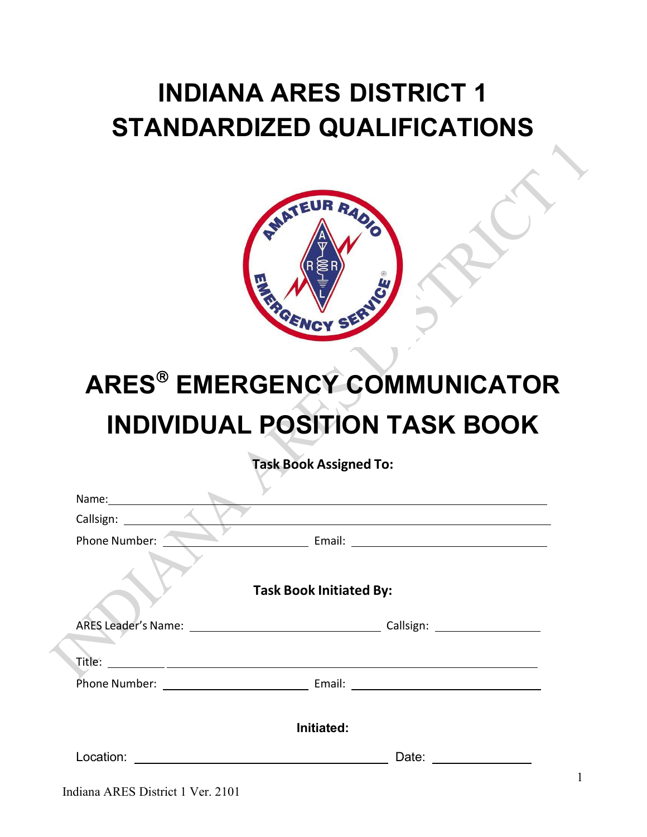## **INDIANA ARES DISTRICT 1 STANDARDIZED QUALIFICATIONS**



# **ARES EMERGENCY COMMUNICATOR INDIVIDUAL POSITION TASK BOOK**

**Task Book Assigned To:**

| Name: Name    |                                                                                                                                                                                                                                |  |
|---------------|--------------------------------------------------------------------------------------------------------------------------------------------------------------------------------------------------------------------------------|--|
|               |                                                                                                                                                                                                                                |  |
| Phone Number: |                                                                                                                                                                                                                                |  |
|               | <b>Task Book Initiated By:</b>                                                                                                                                                                                                 |  |
|               | Callsign: The Callsian Callsian Callsian Callsian Callsian Calls Community Control Community Community Community Community Community Community Community Community Community Community Community Community Community Community |  |
|               |                                                                                                                                                                                                                                |  |
|               |                                                                                                                                                                                                                                |  |
|               |                                                                                                                                                                                                                                |  |
|               | Initiated:                                                                                                                                                                                                                     |  |
| Location:     | Date:                                                                                                                                                                                                                          |  |
|               |                                                                                                                                                                                                                                |  |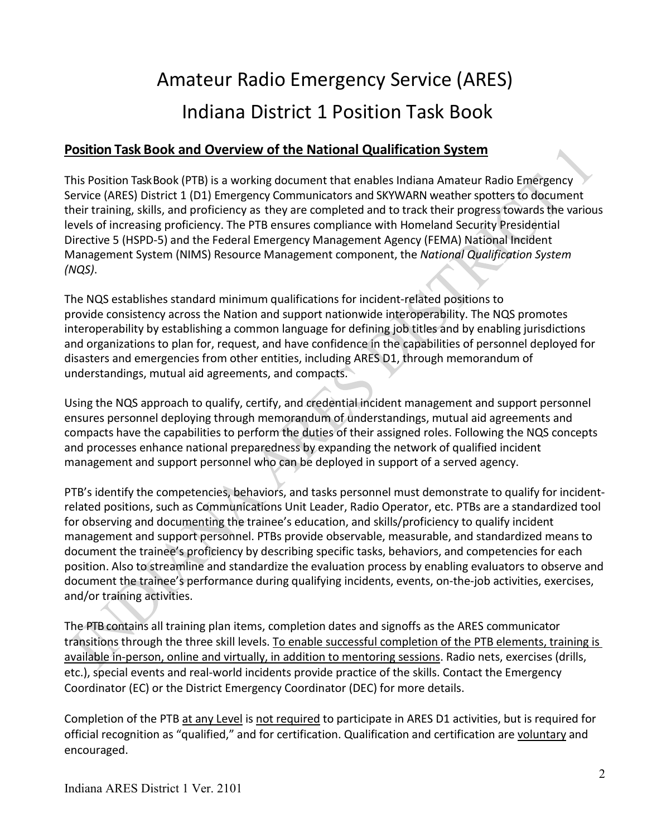## Amateur Radio Emergency Service (ARES) Indiana District 1 Position Task Book

### **Position Task Book and Overview of the National Qualification System**

This Position TaskBook (PTB) is a working document that enables Indiana Amateur Radio Emergency Service (ARES) District 1 (D1) Emergency Communicators and SKYWARN weather spotters to document their training, skills, and proficiency as they are completed and to track their progress towards the various levels of increasing proficiency. The PTB ensures compliance with Homeland Security Presidential Directive 5 (HSPD-5) and the Federal Emergency Management Agency (FEMA) National Incident Management System (NIMS) Resource Management component, the *National Qualification System (NQS)*.

The NQS establishes standard minimum qualifications for incident-related positions to provide consistency across the Nation and support nationwide interoperability. The NQS promotes interoperability by establishing a common language for defining job titles and by enabling jurisdictions and organizations to plan for, request, and have confidence in the capabilities of personnel deployed for disasters and emergencies from other entities, including ARES D1, through memorandum of understandings, mutual aid agreements, and compacts.

Using the NQS approach to qualify, certify, and credential incident management and support personnel ensures personnel deploying through memorandum of understandings, mutual aid agreements and compacts have the capabilities to perform the duties of their assigned roles. Following the NQS concepts and processes enhance national preparedness by expanding the network of qualified incident management and support personnel who can be deployed in support of a served agency.

PTB's identify the competencies, behaviors, and tasks personnel must demonstrate to qualify for incidentrelated positions, such as Communications Unit Leader, Radio Operator, etc. PTBs are a standardized tool for observing and documenting the trainee's education, and skills/proficiency to qualify incident management and support personnel. PTBs provide observable, measurable, and standardized means to document the trainee's proficiency by describing specific tasks, behaviors, and competencies for each position. Also to streamline and standardize the evaluation process by enabling evaluators to observe and document the trainee's performance during qualifying incidents, events, on-the-job activities, exercises, and/or training activities.

The PTB contains all training plan items, completion dates and signoffs as the ARES communicator transitions through the three skill levels. To enable successful completion of the PTB elements, training is available in-person, online and virtually, in addition to mentoring sessions. Radio nets, exercises (drills, etc.), special events and real-world incidents provide practice of the skills. Contact the Emergency Coordinator (EC) or the District Emergency Coordinator (DEC) for more details.

Completion of the PTB at any Level is not required to participate in ARES D1 activities, but is required for official recognition as "qualified," and for certification. Qualification and certification are voluntary and encouraged.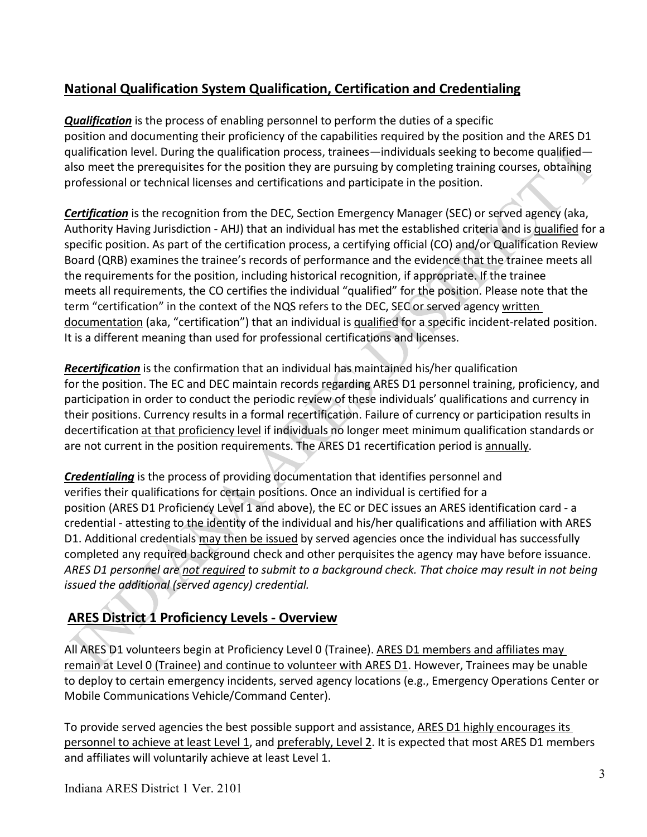## **National Qualification System Qualification, Certification and Credentialing**

*Qualification* is the process of enabling personnel to perform the duties of a specific position and documenting their proficiency of the capabilities required by the position and the ARES D1 qualification level. During the qualification process, trainees—individuals seeking to become qualified also meet the prerequisites for the position they are pursuing by completing training courses, obtaining professional or technical licenses and certifications and participate in the position.

*Certification* is the recognition from the DEC, Section Emergency Manager (SEC) or served agency (aka, Authority Having Jurisdiction - AHJ) that an individual has met the established criteria and is qualified for a specific position. As part of the certification process, a certifying official (CO) and/or Qualification Review Board (QRB) examines the trainee's records of performance and the evidence that the trainee meets all the requirements for the position, including historical recognition, if appropriate. If the trainee meets all requirements, the CO certifies the individual "qualified" for the position. Please note that the term "certification" in the context of the NQS refers to the DEC, SEC or served agency written documentation (aka, "certification") that an individual is qualified for a specific incident-related position. It is a different meaning than used for professional certifications and licenses.

*Recertification* is the confirmation that an individual has maintained his/her qualification for the position. The EC and DEC maintain records regarding ARES D1 personnel training, proficiency, and participation in order to conduct the periodic review of these individuals' qualifications and currency in their positions. Currency results in a formal recertification. Failure of currency or participation results in decertification at that proficiency level if individuals no longer meet minimum qualification standards or are not current in the position requirements. The ARES D1 recertification period is annually.

*Credentialing* is the process of providing documentation that identifies personnel and verifies their qualifications for certain positions. Once an individual is certified for a position (ARES D1 Proficiency Level 1 and above), the EC or DEC issues an ARES identification card - a credential - attesting to the identity of the individual and his/her qualifications and affiliation with ARES D1. Additional credentials may then be issued by served agencies once the individual has successfully completed any required background check and other perquisites the agency may have before issuance. *ARES D1 personnel are not required to submit to a background check. That choice may result in not being issued the additional (served agency) credential.*

## **ARES District 1 Proficiency Levels - Overview**

All ARES D1 volunteers begin at Proficiency Level 0 (Trainee). ARES D1 members and affiliates may remain at Level 0 (Trainee) and continue to volunteer with ARES D1. However, Trainees may be unable to deploy to certain emergency incidents, served agency locations (e.g., Emergency Operations Center or Mobile Communications Vehicle/Command Center).

To provide served agencies the best possible support and assistance, ARES D1 highly encourages its personnel to achieve at least Level 1, and preferably, Level 2. It is expected that most ARES D1 members and affiliates will voluntarily achieve at least Level 1.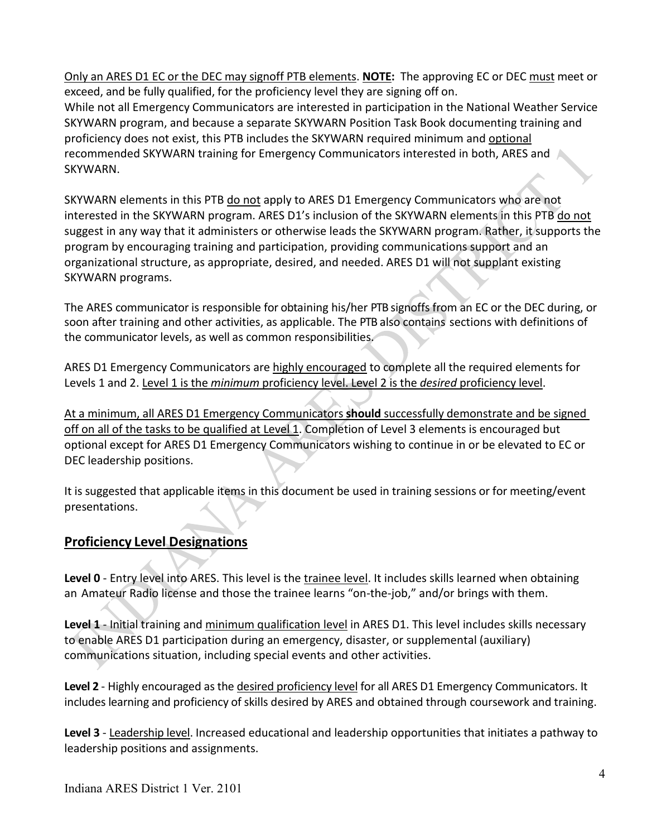Only an ARES D1 EC or the DEC may signoff PTB elements. **NOTE:** The approving EC or DEC must meet or exceed, and be fully qualified, for the proficiency level they are signing off on. While not all Emergency Communicators are interested in participation in the National Weather Service SKYWARN program, and because a separate SKYWARN Position Task Book documenting training and proficiency does not exist, this PTB includes the SKYWARN required minimum and optional recommended SKYWARN training for Emergency Communicators interested in both, ARES and SKYWARN.

SKYWARN elements in this PTB do not apply to ARES D1 Emergency Communicators who are not interested in the SKYWARN program. ARES D1's inclusion of the SKYWARN elements in this PTB do not suggest in any way that it administers or otherwise leads the SKYWARN program. Rather, it supports the program by encouraging training and participation, providing communications support and an organizational structure, as appropriate, desired, and needed. ARES D1 will not supplant existing SKYWARN programs.

The ARES communicator is responsible for obtaining his/her PTB signoffs from an EC or the DEC during, or soon after training and other activities, as applicable. The PTB also contains sections with definitions of the communicator levels, as well as common responsibilities.

ARES D1 Emergency Communicators are highly encouraged to complete all the required elements for Levels 1 and 2. Level 1 is the *minimum* proficiency level. Level 2 is the *desired* proficiency level.

At a minimum, all ARES D1 Emergency Communicators **should** successfully demonstrate and be signed off on all of the tasks to be qualified at Level 1. Completion of Level 3 elements is encouraged but optional except for ARES D1 Emergency Communicators wishing to continue in or be elevated to EC or DEC leadership positions.

It is suggested that applicable items in this document be used in training sessions or for meeting/event presentations.

## **Proficiency Level Designations**

**Level 0** - Entry level into ARES. This level is the trainee level. It includes skills learned when obtaining an Amateur Radio license and those the trainee learns "on-the-job," and/or brings with them.

**Level 1** - Initial training and minimum qualification level in ARES D1. This level includes skills necessary to enable ARES D1 participation during an emergency, disaster, or supplemental (auxiliary) communications situation, including special events and other activities.

**Level 2** - Highly encouraged as the desired proficiency level for all ARES D1 Emergency Communicators. It includes learning and proficiency of skills desired by ARES and obtained through coursework and training.

**Level 3** - Leadership level. Increased educational and leadership opportunities that initiates a pathway to leadership positions and assignments.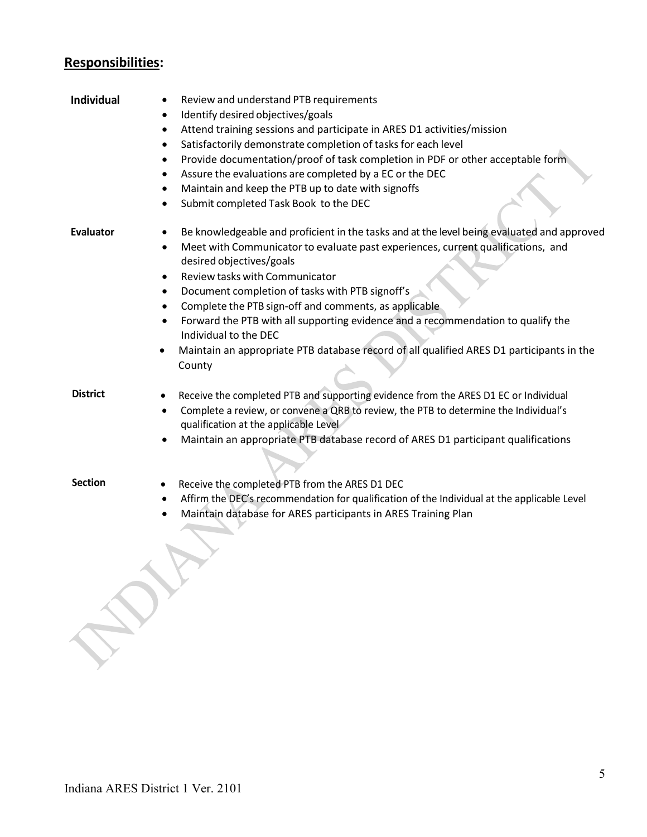## **Responsibilities:**

| <b>Individual</b> | Review and understand PTB requirements<br>Identify desired objectives/goals<br>٠<br>Attend training sessions and participate in ARES D1 activities/mission<br>$\bullet$<br>Satisfactorily demonstrate completion of tasks for each level<br>$\bullet$<br>Provide documentation/proof of task completion in PDF or other acceptable form<br>٠<br>Assure the evaluations are completed by a EC or the DEC<br>$\bullet$<br>Maintain and keep the PTB up to date with signoffs<br>Submit completed Task Book to the DEC                                                                                                                  |
|-------------------|--------------------------------------------------------------------------------------------------------------------------------------------------------------------------------------------------------------------------------------------------------------------------------------------------------------------------------------------------------------------------------------------------------------------------------------------------------------------------------------------------------------------------------------------------------------------------------------------------------------------------------------|
| <b>Evaluator</b>  | Be knowledgeable and proficient in the tasks and at the level being evaluated and approved<br>Meet with Communicator to evaluate past experiences, current qualifications, and<br>$\bullet$<br>desired objectives/goals<br>Review tasks with Communicator<br>$\bullet$<br>Document completion of tasks with PTB signoff's<br>$\bullet$<br>Complete the PTB sign-off and comments, as applicable<br>٠<br>Forward the PTB with all supporting evidence and a recommendation to qualify the<br>$\bullet$<br>Individual to the DEC<br>Maintain an appropriate PTB database record of all qualified ARES D1 participants in the<br>County |
| <b>District</b>   | Receive the completed PTB and supporting evidence from the ARES D1 EC or Individual<br>٠<br>Complete a review, or convene a QRB to review, the PTB to determine the Individual's<br>$\bullet$<br>qualification at the applicable Level<br>Maintain an appropriate PTB database record of ARES D1 participant qualifications                                                                                                                                                                                                                                                                                                          |
| <b>Section</b>    | Receive the completed PTB from the ARES D1 DEC<br>٠<br>Affirm the DEC's recommendation for qualification of the Individual at the applicable Level<br>$\bullet$<br>Maintain database for ARES participants in ARES Training Plan                                                                                                                                                                                                                                                                                                                                                                                                     |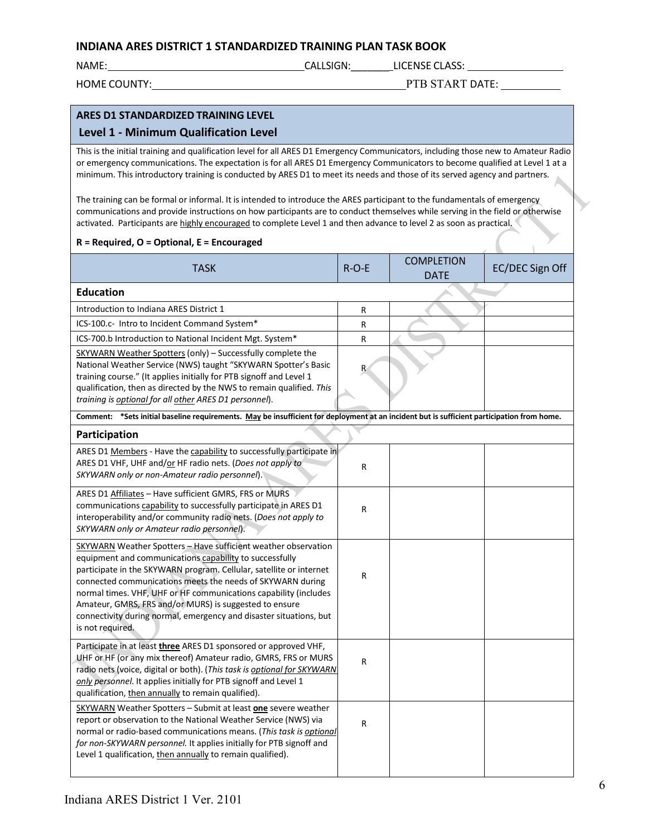#### **INDIANA ARES DISTRICT 1 STANDARDIZED TRAINING PLAN TASK BOOK**

NAME: THE CALLSIGN: LICENSE CLASS:

HOME COUNTY: PTB START DATE: PTB START DATE:

#### **ARES D1 STANDARDIZED TRAINING LEVEL Level 1 - Minimum Qualification Level**  This is the initial training and qualification level for all ARES D1 Emergency Communicators, including those new to Amateur Radio or emergency communications. The expectation is for all ARES D1 Emergency Communicators to become qualified at Level 1 at a minimum. This introductory training is conducted by ARES D1 to meet its needs and those of its served agency and partners. The training can be formal or informal. It is intended to introduce the ARES participant to the fundamentals of emergency communications and provide instructions on how participants are to conduct themselves while serving in the field or otherwise activated. Participants are highly encouraged to complete Level 1 and then advance to level 2 as soon as practical. **R = Required, O = Optional, E = Encouraged** TASK R-O-E COMPLETION EC/DEC Sign Off **Education** Introduction to Indiana ARES District 1 R ICS-100.c- Intro to Incident Command System\* R ICS-700.b Introduction to National Incident Mgt. System\* R SKYWARN Weather Spotters (only) – Successfully complete the National Weather Service (NWS) taught "SKYWARN Spotter's Basic training course." (It applies initially for PTB signoff and Level 1 qualification, then as directed by the NWS to remain qualified. *This training is optional for all other ARES D1 personnel*). R **Comment: \*Sets initial baseline requirements. May be insufficient for deployment at an incident but is sufficient participation from home. Participation** ARES D1 Members - Have the capability to successfully participate in ARES D1 VHF, UHF and/or HF radio nets. (*Does not apply to SKYWARN only or non-Amateur radio personnel*). <sup>R</sup> ARES D1 Affiliates – Have sufficient GMRS, FRS or MURS communications capability to successfully participate in ARES D1 interoperability and/or community radio nets. (*Does not apply to SKYWARN only or Amateur radio personnel*). R SKYWARN Weather Spotters – Have sufficient weather observation equipment and communications capability to successfully participate in the SKYWARN program. Cellular, satellite or internet connected communications meets the needs of SKYWARN during normal times. VHF, UHF or HF communications capability (includes Amateur, GMRS, FRS and/or MURS) is suggested to ensure connectivity during normal, emergency and disaster situations, but is not required. R Participate in at least **three** ARES D1 sponsored or approved VHF, UHF or HF (or any mix thereof) Amateur radio, GMRS, FRS or MURS radio nets (voice, digital or both). (*This task is optional for SKYWARN only personnel*. It applies initially for PTB signoff and Level 1 qualification, then annually to remain qualified). R SKYWARN Weather Spotters – Submit at least **one** severe weather report or observation to the National Weather Service (NWS) via normal or radio-based communications means. (*This task is optional for non-SKYWARN personnel.* It applies initially for PTB signoff and Level 1 qualification, then annually to remain qualified). R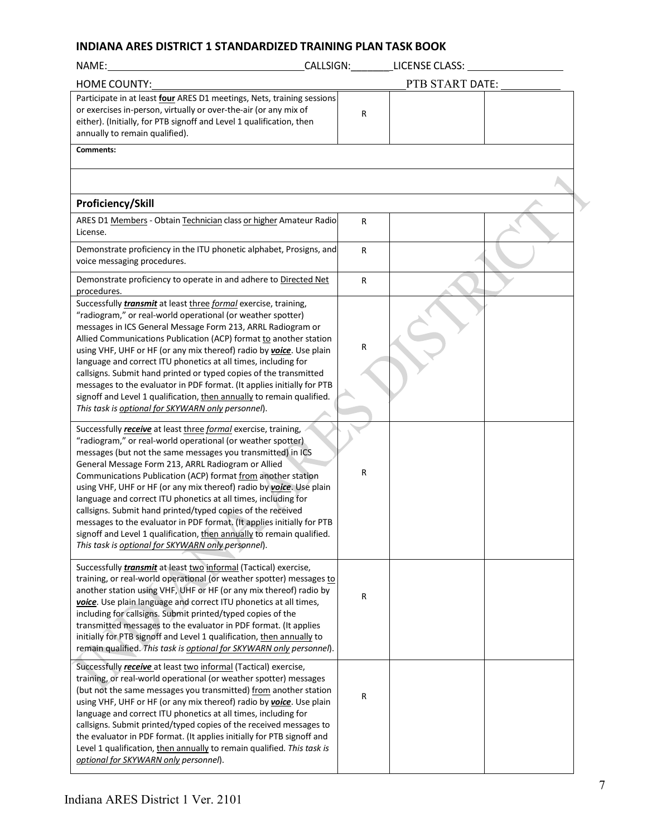#### **INDIANA ARES DISTRICT 1 STANDARDIZED TRAINING PLAN TASK BOOK**

| NAME:                                                                                                                                                                                                                                                                                                                                            |              | CALLSIGN: LICENSE CLASS: |  |
|--------------------------------------------------------------------------------------------------------------------------------------------------------------------------------------------------------------------------------------------------------------------------------------------------------------------------------------------------|--------------|--------------------------|--|
| <b>HOME COUNTY:</b>                                                                                                                                                                                                                                                                                                                              |              | PTB START DATE:          |  |
| Participate in at least four ARES D1 meetings, Nets, training sessions<br>or exercises in-person, virtually or over-the-air (or any mix of<br>either). (Initially, for PTB signoff and Level 1 qualification, then<br>annually to remain qualified).                                                                                             | R            |                          |  |
| Comments:                                                                                                                                                                                                                                                                                                                                        |              |                          |  |
|                                                                                                                                                                                                                                                                                                                                                  |              |                          |  |
|                                                                                                                                                                                                                                                                                                                                                  |              |                          |  |
| Proficiency/Skill                                                                                                                                                                                                                                                                                                                                |              |                          |  |
| ARES D1 Members - Obtain Technician class or higher Amateur Radio<br>License.                                                                                                                                                                                                                                                                    | $\mathsf{R}$ |                          |  |
| Demonstrate proficiency in the ITU phonetic alphabet, Prosigns, and<br>voice messaging procedures.                                                                                                                                                                                                                                               | $\mathsf{R}$ |                          |  |
| Demonstrate proficiency to operate in and adhere to Directed Net<br>procedures.                                                                                                                                                                                                                                                                  | R            |                          |  |
| Successfully <i>transmit</i> at least three formal exercise, training,<br>"radiogram," or real-world operational (or weather spotter)<br>messages in ICS General Message Form 213, ARRL Radiogram or<br>Allied Communications Publication (ACP) format to another station<br>using VHF, UHF or HF (or any mix thereof) radio by voice. Use plain | R            |                          |  |
| language and correct ITU phonetics at all times, including for<br>callsigns. Submit hand printed or typed copies of the transmitted<br>messages to the evaluator in PDF format. (It applies initially for PTB                                                                                                                                    |              |                          |  |
| signoff and Level 1 qualification, then annually to remain qualified.<br>This task is optional for SKYWARN only personnel).                                                                                                                                                                                                                      |              |                          |  |
| Successfully receive at least three formal exercise, training,<br>"radiogram," or real-world operational (or weather spotter)                                                                                                                                                                                                                    |              |                          |  |
| messages (but not the same messages you transmitted) in ICS<br>General Message Form 213, ARRL Radiogram or Allied<br>Communications Publication (ACP) format from another station<br>using VHF, UHF or HF (or any mix thereof) radio by voice. Use plain                                                                                         | R            |                          |  |
| language and correct ITU phonetics at all times, including for<br>callsigns. Submit hand printed/typed copies of the received<br>messages to the evaluator in PDF format. (It applies initially for PTB<br>signoff and Level 1 qualification, then annually to remain qualified.                                                                 |              |                          |  |
| This task is optional for SKYWARN only personnel).                                                                                                                                                                                                                                                                                               |              |                          |  |
| Successfully <i>transmit</i> at least two informal (Tactical) exercise,<br>training, or real-world operational (or weather spotter) messages to<br>another station using VHF, UHF or HF (or any mix thereof) radio by<br>voice. Use plain language and correct ITU phonetics at all times,                                                       | R            |                          |  |
| including for callsigns. Submit printed/typed copies of the<br>transmitted messages to the evaluator in PDF format. (It applies<br>initially for PTB signoff and Level 1 qualification, then annually to<br>remain qualified. This task is optional for SKYWARN only personnel).                                                                 |              |                          |  |
| Successfully <i>receive</i> at least two informal (Tactical) exercise,<br>training, or real-world operational (or weather spotter) messages<br>(but not the same messages you transmitted) from another station<br>using VHF, UHF or HF (or any mix thereof) radio by voice. Use plain                                                           | R            |                          |  |
| language and correct ITU phonetics at all times, including for<br>callsigns. Submit printed/typed copies of the received messages to<br>the evaluator in PDF format. (It applies initially for PTB signoff and<br>Level 1 qualification, then annually to remain qualified. This task is<br>optional for SKYWARN only personnel).                |              |                          |  |
|                                                                                                                                                                                                                                                                                                                                                  |              |                          |  |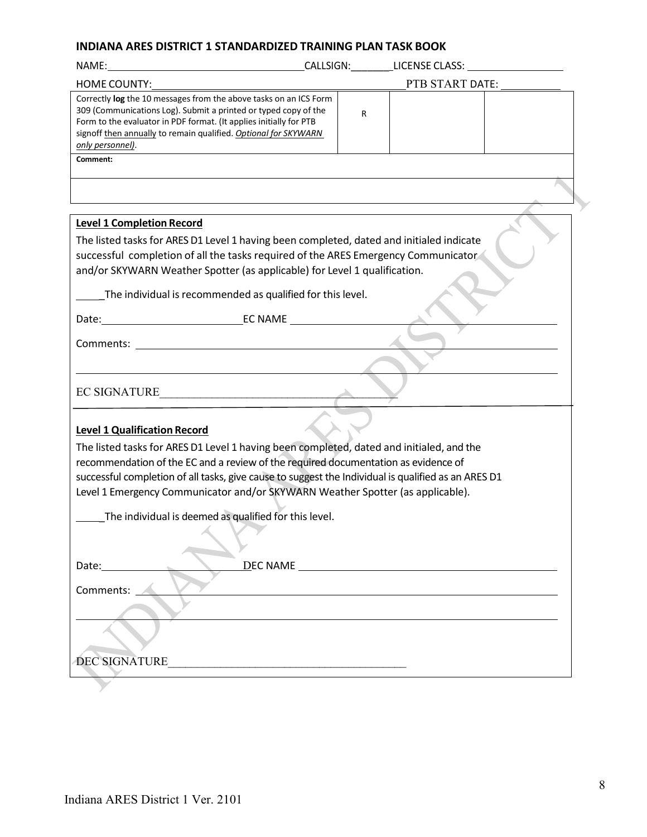#### **INDIANA ARES DISTRICT 1 STANDARDIZED TRAINING PLAN TASK BOOK**

| <b>HOME COUNTY:</b>                                                                                                                                                                                                                                                                               |  |   | PTB START DATE: |  |
|---------------------------------------------------------------------------------------------------------------------------------------------------------------------------------------------------------------------------------------------------------------------------------------------------|--|---|-----------------|--|
| Correctly log the 10 messages from the above tasks on an ICS Form<br>309 (Communications Log). Submit a printed or typed copy of the<br>Form to the evaluator in PDF format. (It applies initially for PTB<br>signoff then annually to remain qualified. Optional for SKYWARN<br>only personnel). |  | R |                 |  |
| Comment:                                                                                                                                                                                                                                                                                          |  |   |                 |  |
|                                                                                                                                                                                                                                                                                                   |  |   |                 |  |
|                                                                                                                                                                                                                                                                                                   |  |   |                 |  |
| <b>Level 1 Completion Record</b>                                                                                                                                                                                                                                                                  |  |   |                 |  |
| The listed tasks for ARES D1 Level 1 having been completed, dated and initialed indicate<br>successful completion of all the tasks required of the ARES Emergency Communicator<br>and/or SKYWARN Weather Spotter (as applicable) for Level 1 qualification.                                       |  |   |                 |  |
| The individual is recommended as qualified for this level.                                                                                                                                                                                                                                        |  |   |                 |  |
|                                                                                                                                                                                                                                                                                                   |  |   |                 |  |
|                                                                                                                                                                                                                                                                                                   |  |   |                 |  |
|                                                                                                                                                                                                                                                                                                   |  |   |                 |  |
| EC SIGNATURE                                                                                                                                                                                                                                                                                      |  |   |                 |  |
| <b>Level 1 Qualification Record</b>                                                                                                                                                                                                                                                               |  |   |                 |  |
| The listed tasks for ARES D1 Level 1 having been completed, dated and initialed, and the                                                                                                                                                                                                          |  |   |                 |  |
| recommendation of the EC and a review of the required documentation as evidence of<br>successful completion of all tasks, give cause to suggest the Individual is qualified as an ARES D1                                                                                                         |  |   |                 |  |
| Level 1 Emergency Communicator and/or SKYWARN Weather Spotter (as applicable).                                                                                                                                                                                                                    |  |   |                 |  |
| The individual is deemed as qualified for this level.                                                                                                                                                                                                                                             |  |   |                 |  |
|                                                                                                                                                                                                                                                                                                   |  |   |                 |  |
|                                                                                                                                                                                                                                                                                                   |  |   |                 |  |
| Comments:                                                                                                                                                                                                                                                                                         |  |   |                 |  |
|                                                                                                                                                                                                                                                                                                   |  |   |                 |  |
|                                                                                                                                                                                                                                                                                                   |  |   |                 |  |
| DEC SIGNATURE                                                                                                                                                                                                                                                                                     |  |   |                 |  |
|                                                                                                                                                                                                                                                                                                   |  |   |                 |  |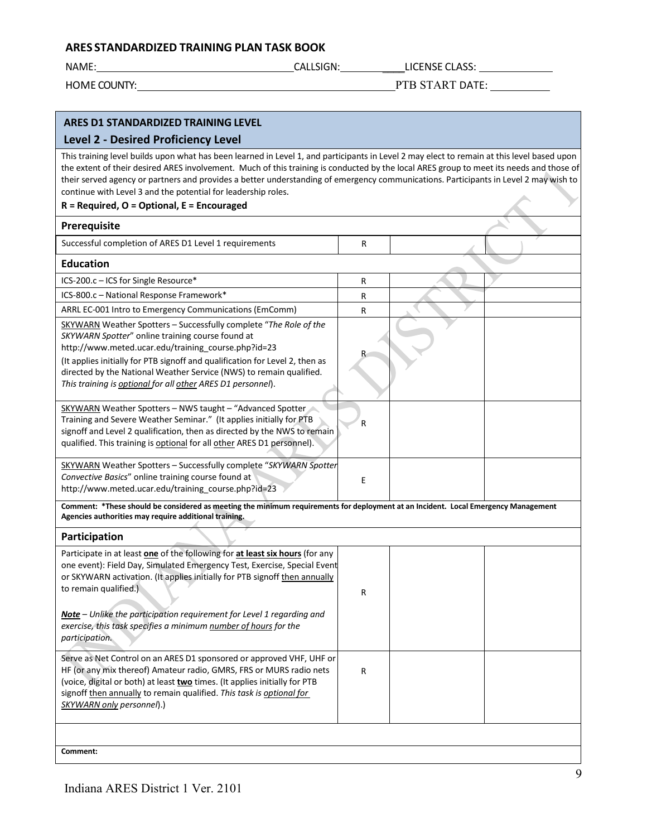NAME: CALLSIGN: \_\_\_\_LICENSE CLASS:

HOME COUNTY: THE START DATE:

### **ARES D1 STANDARDIZED TRAINING LEVEL**

#### **Level 2 - Desired Proficiency Level**

This training level builds upon what has been learned in Level 1, and participants in Level 2 may elect to remain at this level based upon the extent of their desired ARES involvement. Much of this training is conducted by the local ARES group to meet its needs and those of their served agency or partners and provides a better understanding of emergency communications. Participants in Level 2 may wish to continue with Level 3 and the potential for leadership roles.

#### **R = Required, O = Optional, E = Encouraged**

| Prerequisite                                                                                                                                                                                                                                                                                                                                                                                              |   |  |
|-----------------------------------------------------------------------------------------------------------------------------------------------------------------------------------------------------------------------------------------------------------------------------------------------------------------------------------------------------------------------------------------------------------|---|--|
| Successful completion of ARES D1 Level 1 requirements                                                                                                                                                                                                                                                                                                                                                     | R |  |
| <b>Education</b>                                                                                                                                                                                                                                                                                                                                                                                          |   |  |
| ICS-200.c - ICS for Single Resource*                                                                                                                                                                                                                                                                                                                                                                      | R |  |
| ICS-800.c - National Response Framework*                                                                                                                                                                                                                                                                                                                                                                  | R |  |
| ARRL EC-001 Intro to Emergency Communications (EmComm)                                                                                                                                                                                                                                                                                                                                                    | R |  |
| SKYWARN Weather Spotters - Successfully complete "The Role of the<br>SKYWARN Spotter" online training course found at<br>http://www.meted.ucar.edu/training_course.php?id=23<br>(It applies initially for PTB signoff and qualification for Level 2, then as<br>directed by the National Weather Service (NWS) to remain qualified.<br>This training is <i>optional</i> for all other ARES D1 personnel). |   |  |
| SKYWARN Weather Spotters - NWS taught - "Advanced Spotter<br>Training and Severe Weather Seminar." (It applies initially for PTB<br>signoff and Level 2 qualification, then as directed by the NWS to remain<br>qualified. This training is optional for all other ARES D1 personnel).                                                                                                                    | R |  |
| SKYWARN Weather Spotters - Successfully complete "SKYWARN Spotter<br>Convective Basics" online training course found at<br>http://www.meted.ucar.edu/training course.php?id=23                                                                                                                                                                                                                            | E |  |
| Comment: *These should be considered as meeting the minimum requirements for deployment at an Incident. Local Emergency Management<br>Agencies authorities may require additional training.                                                                                                                                                                                                               |   |  |
| Participation                                                                                                                                                                                                                                                                                                                                                                                             |   |  |
| Participate in at least one of the following for at least six hours (for any<br>one event): Field Day, Simulated Emergency Test, Exercise, Special Event<br>or SKYWARN activation. (It applies initially for PTB signoff then annually<br>to remain qualified.)<br>Note - Unlike the participation requirement for Level 1 regarding and                                                                  | R |  |
| exercise, this task specifies a minimum number of hours for the<br>participation.                                                                                                                                                                                                                                                                                                                         |   |  |
| Serve as Net Control on an ARES D1 sponsored or approved VHF, UHF or<br>HF (or any mix thereof) Amateur radio, GMRS, FRS or MURS radio nets<br>(voice, digital or both) at least two times. (It applies initially for PTB<br>signoff then annually to remain qualified. This task is optional for<br>SKYWARN only personnel).)                                                                            | R |  |
|                                                                                                                                                                                                                                                                                                                                                                                                           |   |  |
| Comment:                                                                                                                                                                                                                                                                                                                                                                                                  |   |  |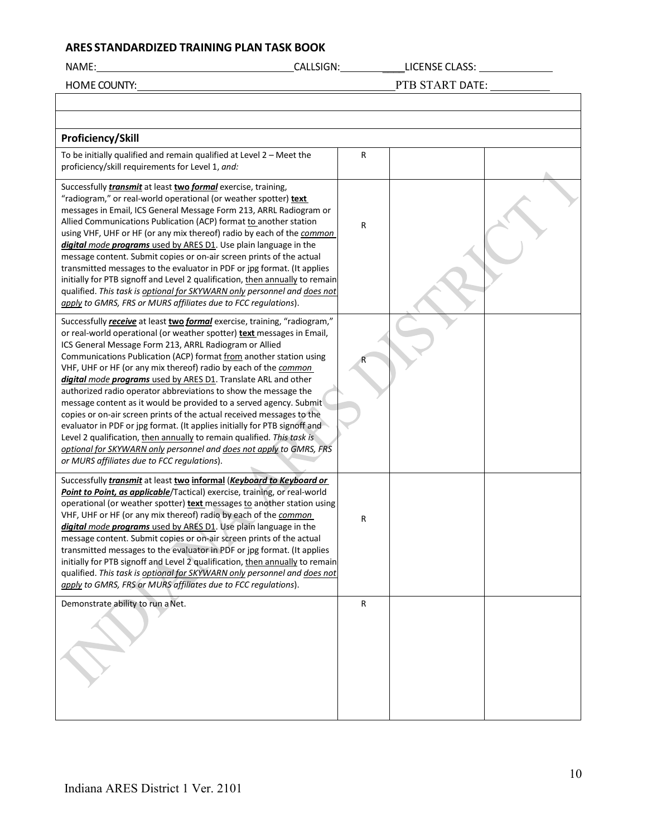NAME: CALLSIGN: \_\_\_\_LICENSE CLASS:

HOME COUNTY: PTB START DATE:

| Proficiency/Skill                                                                                                                                                                                                                                                                                                                                                                                                                                                                                                                                                                                                                                                                                                                                                                                                                                                                                                       |   |  |
|-------------------------------------------------------------------------------------------------------------------------------------------------------------------------------------------------------------------------------------------------------------------------------------------------------------------------------------------------------------------------------------------------------------------------------------------------------------------------------------------------------------------------------------------------------------------------------------------------------------------------------------------------------------------------------------------------------------------------------------------------------------------------------------------------------------------------------------------------------------------------------------------------------------------------|---|--|
| To be initially qualified and remain qualified at Level 2 - Meet the<br>proficiency/skill requirements for Level 1, and:                                                                                                                                                                                                                                                                                                                                                                                                                                                                                                                                                                                                                                                                                                                                                                                                | R |  |
| Successfully <i>transmit</i> at least two formal exercise, training,<br>"radiogram," or real-world operational (or weather spotter) text<br>messages in Email, ICS General Message Form 213, ARRL Radiogram or<br>Allied Communications Publication (ACP) format to another station<br>using VHF, UHF or HF (or any mix thereof) radio by each of the common<br>digital mode programs used by ARES D1. Use plain language in the<br>message content. Submit copies or on-air screen prints of the actual<br>transmitted messages to the evaluator in PDF or jpg format. (It applies<br>initially for PTB signoff and Level 2 qualification, then annually to remain<br>qualified. This task is optional for SKYWARN only personnel and does not<br>apply to GMRS, FRS or MURS affiliates due to FCC regulations).                                                                                                       | R |  |
| Successfully receive at least two formal exercise, training, "radiogram,"<br>or real-world operational (or weather spotter) text messages in Email,<br>ICS General Message Form 213, ARRL Radiogram or Allied<br>Communications Publication (ACP) format from another station using<br>VHF, UHF or HF (or any mix thereof) radio by each of the common<br>digital mode programs used by ARES D1. Translate ARL and other<br>authorized radio operator abbreviations to show the message the<br>message content as it would be provided to a served agency. Submit<br>copies or on-air screen prints of the actual received messages to the<br>evaluator in PDF or jpg format. (It applies initially for PTB signoff and<br>Level 2 qualification, then annually to remain qualified. This task is<br>optional for SKYWARN only personnel and does not apply to GMRS, FRS<br>or MURS affiliates due to FCC regulations). |   |  |
| Successfully <i>transmit</i> at least two informal (Keyboard to Keyboard or<br>Point to Point, as applicable/Tactical) exercise, training, or real-world<br>operational (or weather spotter) text messages to another station using<br>VHF, UHF or HF (or any mix thereof) radio by each of the common<br>digital mode programs used by ARES D1. Use plain language in the<br>message content. Submit copies or on-air screen prints of the actual<br>transmitted messages to the evaluator in PDF or jpg format. (It applies<br>initially for PTB signoff and Level 2 qualification, then annually to remain<br>qualified. This task is optional for SKYWARN only personnel and does not<br>apply to GMRS, FRS or MURS affiliates due to FCC regulations).                                                                                                                                                             | R |  |
| Demonstrate ability to run a Net.                                                                                                                                                                                                                                                                                                                                                                                                                                                                                                                                                                                                                                                                                                                                                                                                                                                                                       | R |  |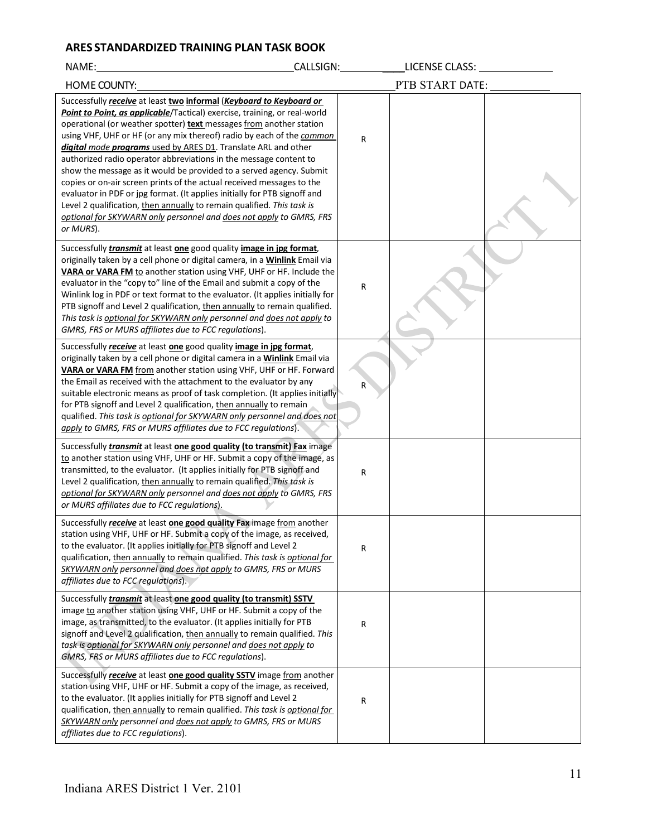| NAME:                                                                                                                                                                                                                                                                                                                                                                                                                                                                                                                                                                                                                                                                                                                                                                                                                              | CALLSIGN: UNIT | LICENSE CLASS:  |  |
|------------------------------------------------------------------------------------------------------------------------------------------------------------------------------------------------------------------------------------------------------------------------------------------------------------------------------------------------------------------------------------------------------------------------------------------------------------------------------------------------------------------------------------------------------------------------------------------------------------------------------------------------------------------------------------------------------------------------------------------------------------------------------------------------------------------------------------|----------------|-----------------|--|
| <b>HOME COUNTY:</b>                                                                                                                                                                                                                                                                                                                                                                                                                                                                                                                                                                                                                                                                                                                                                                                                                |                | PTB START DATE: |  |
| Successfully receive at least two informal (Keyboard to Keyboard or<br>Point to Point, as applicable/Tactical) exercise, training, or real-world<br>operational (or weather spotter) text messages from another station<br>using VHF, UHF or HF (or any mix thereof) radio by each of the common<br>digital mode programs used by ARES D1. Translate ARL and other<br>authorized radio operator abbreviations in the message content to<br>show the message as it would be provided to a served agency. Submit<br>copies or on-air screen prints of the actual received messages to the<br>evaluator in PDF or jpg format. (It applies initially for PTB signoff and<br>Level 2 qualification, then annually to remain qualified. This task is<br>optional for SKYWARN only personnel and does not apply to GMRS, FRS<br>or MURS). | R              |                 |  |
| Successfully <i>transmit</i> at least one good quality <i>image in jpg format</i> ,<br>originally taken by a cell phone or digital camera, in a <b>Winlink</b> Email via<br>VARA or VARA FM to another station using VHF, UHF or HF. Include the<br>evaluator in the "copy to" line of the Email and submit a copy of the<br>Winlink log in PDF or text format to the evaluator. (It applies initially for<br>PTB signoff and Level 2 qualification, then annually to remain qualified.<br>This task is optional for SKYWARN only personnel and does not apply to<br>GMRS, FRS or MURS affiliates due to FCC regulations).                                                                                                                                                                                                         | R              |                 |  |
| Successfully receive at least one good quality image in jpg format,<br>originally taken by a cell phone or digital camera in a <b>Winlink</b> Email via<br>VARA or VARA FM from another station using VHF, UHF or HF. Forward<br>the Email as received with the attachment to the evaluator by any<br>suitable electronic means as proof of task completion. (It applies initially<br>for PTB signoff and Level 2 qualification, then annually to remain<br>qualified. This task is optional for SKYWARN only personnel and does not<br>apply to GMRS, FRS or MURS affiliates due to FCC regulations).                                                                                                                                                                                                                             | R              |                 |  |
| Successfully <i>transmit</i> at least one good quality (to transmit) Fax image<br>to another station using VHF, UHF or HF. Submit a copy of the image, as<br>transmitted, to the evaluator. (It applies initially for PTB signoff and<br>Level 2 qualification, then annually to remain qualified. This task is<br>optional for SKYWARN only personnel and does not apply to GMRS, FRS<br>or MURS affiliates due to FCC regulations).                                                                                                                                                                                                                                                                                                                                                                                              | R              |                 |  |
| Successfully receive at least one good quality Fax image from another<br>station using VHF, UHF or HF. Submit a copy of the image, as received,<br>to the evaluator. (It applies initially for PTB signoff and Level 2<br>qualification, then annually to remain qualified. This task is optional for<br>SKYWARN only personnel and does not apply to GMRS, FRS or MURS<br>affiliates due to FCC requlations).                                                                                                                                                                                                                                                                                                                                                                                                                     | R              |                 |  |
| Successfully <i>transmit</i> at least one good quality (to transmit) SSTV<br>image to another station using VHF, UHF or HF. Submit a copy of the<br>image, as transmitted, to the evaluator. (It applies initially for PTB<br>signoff and Level 2 qualification, then annually to remain qualified. This<br>task is optional for SKYWARN only personnel and does not apply to<br>GMRS, FRS or MURS affiliates due to FCC regulations).                                                                                                                                                                                                                                                                                                                                                                                             | R              |                 |  |
| Successfully <i>receive</i> at least one good quality SSTV image from another<br>station using VHF, UHF or HF. Submit a copy of the image, as received,<br>to the evaluator. (It applies initially for PTB signoff and Level 2<br>qualification, then annually to remain qualified. This task is optional for<br>SKYWARN only personnel and does not apply to GMRS, FRS or MURS<br>affiliates due to FCC regulations).                                                                                                                                                                                                                                                                                                                                                                                                             | R              |                 |  |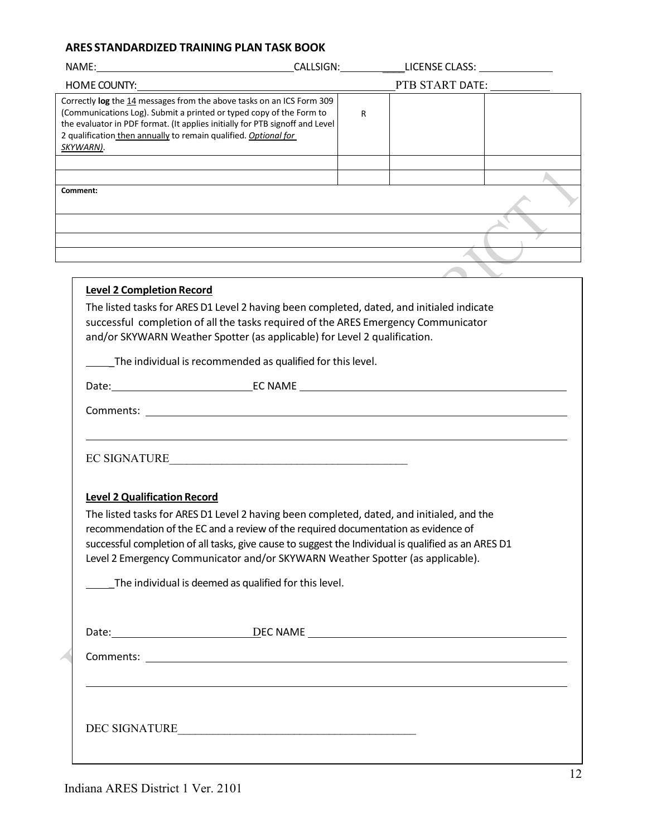| Correctly log the 14 messages from the above tasks on an ICS Form 309<br>(Communications Log). Submit a printed or typed copy of the Form to<br>the evaluator in PDF format. (It applies initially for PTB signoff and Level<br>2 qualification then annually to remain qualified. Optional for<br><u>SKYWARN)</u> . |  | R |  |  |
|----------------------------------------------------------------------------------------------------------------------------------------------------------------------------------------------------------------------------------------------------------------------------------------------------------------------|--|---|--|--|
|                                                                                                                                                                                                                                                                                                                      |  |   |  |  |
| Comment:                                                                                                                                                                                                                                                                                                             |  |   |  |  |
|                                                                                                                                                                                                                                                                                                                      |  |   |  |  |
| and the control of the control of the control of the control of the control of the control of the control of the                                                                                                                                                                                                     |  |   |  |  |
| <u> 1989 - Johann Stoff, amerikansk politiker (* 1908)</u>                                                                                                                                                                                                                                                           |  |   |  |  |
| and the control of the control of the control of the control of the control of the control of the control of the                                                                                                                                                                                                     |  |   |  |  |
|                                                                                                                                                                                                                                                                                                                      |  |   |  |  |
| <b>Level 2 Completion Record</b>                                                                                                                                                                                                                                                                                     |  |   |  |  |
| The listed tasks for ARES D1 Level 2 having been completed, dated, and initialed indicate<br>successful completion of all the tasks required of the ARES Emergency Communicator<br>and/or SKYWARN Weather Spotter (as applicable) for Level 2 qualification.                                                         |  |   |  |  |
| The individual is recommended as qualified for this level.                                                                                                                                                                                                                                                           |  |   |  |  |
|                                                                                                                                                                                                                                                                                                                      |  |   |  |  |
|                                                                                                                                                                                                                                                                                                                      |  |   |  |  |
|                                                                                                                                                                                                                                                                                                                      |  |   |  |  |
| EC SIGNATURE                                                                                                                                                                                                                                                                                                         |  |   |  |  |
| <b>Level 2 Qualification Record</b>                                                                                                                                                                                                                                                                                  |  |   |  |  |
| The listed tasks for ARES D1 Level 2 having been completed, dated, and initialed, and the                                                                                                                                                                                                                            |  |   |  |  |
| recommendation of the EC and a review of the required documentation as evidence of                                                                                                                                                                                                                                   |  |   |  |  |
| successful completion of all tasks, give cause to suggest the Individual is qualified as an ARES D1                                                                                                                                                                                                                  |  |   |  |  |
| Level 2 Emergency Communicator and/or SKYWARN Weather Spotter (as applicable).                                                                                                                                                                                                                                       |  |   |  |  |
| The individual is deemed as qualified for this level.                                                                                                                                                                                                                                                                |  |   |  |  |
|                                                                                                                                                                                                                                                                                                                      |  |   |  |  |
|                                                                                                                                                                                                                                                                                                                      |  |   |  |  |
|                                                                                                                                                                                                                                                                                                                      |  |   |  |  |
|                                                                                                                                                                                                                                                                                                                      |  |   |  |  |
|                                                                                                                                                                                                                                                                                                                      |  |   |  |  |
|                                                                                                                                                                                                                                                                                                                      |  |   |  |  |
| DEC SIGNATURE                                                                                                                                                                                                                                                                                                        |  |   |  |  |
|                                                                                                                                                                                                                                                                                                                      |  |   |  |  |
|                                                                                                                                                                                                                                                                                                                      |  |   |  |  |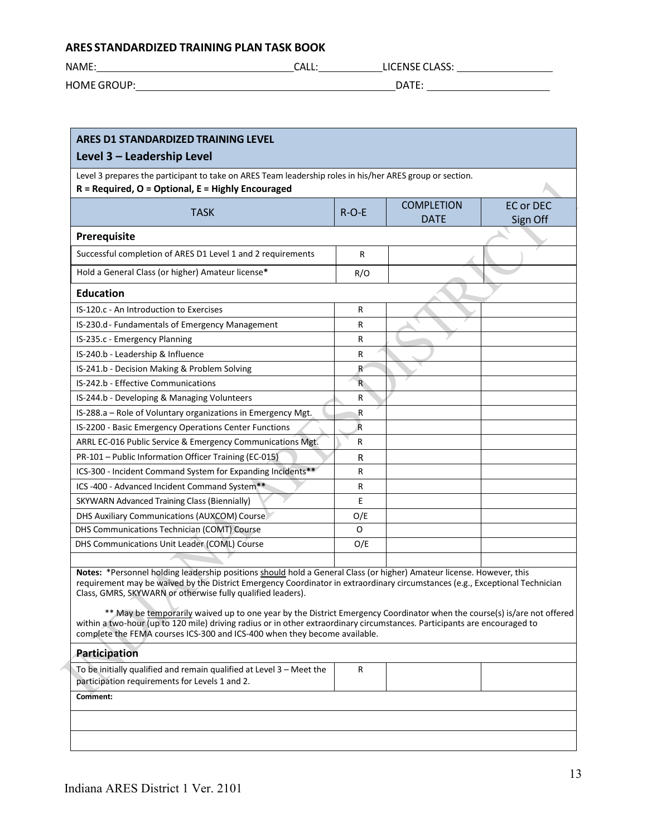HOME GROUP: DATE:

NAME: CALL: LICENSE CLASS:

| Level 3 prepares the participant to take on ARES Team leadership roles in his/her ARES group or section.<br>$R = Required, O = Optional, E = Highly Encouraged$                                                                                                                                                                                                                                                                                                                                                                                                                                                                                           |              |                                  |                              |
|-----------------------------------------------------------------------------------------------------------------------------------------------------------------------------------------------------------------------------------------------------------------------------------------------------------------------------------------------------------------------------------------------------------------------------------------------------------------------------------------------------------------------------------------------------------------------------------------------------------------------------------------------------------|--------------|----------------------------------|------------------------------|
| <b>TASK</b>                                                                                                                                                                                                                                                                                                                                                                                                                                                                                                                                                                                                                                               | $R-O-E$      | <b>COMPLETION</b><br><b>DATE</b> | <b>EC or DEC</b><br>Sign Off |
| Prerequisite                                                                                                                                                                                                                                                                                                                                                                                                                                                                                                                                                                                                                                              |              |                                  |                              |
| Successful completion of ARES D1 Level 1 and 2 requirements                                                                                                                                                                                                                                                                                                                                                                                                                                                                                                                                                                                               | R            |                                  |                              |
| Hold a General Class (or higher) Amateur license*                                                                                                                                                                                                                                                                                                                                                                                                                                                                                                                                                                                                         | R/O          |                                  |                              |
| <b>Education</b>                                                                                                                                                                                                                                                                                                                                                                                                                                                                                                                                                                                                                                          |              |                                  |                              |
| IS-120.c - An Introduction to Exercises                                                                                                                                                                                                                                                                                                                                                                                                                                                                                                                                                                                                                   | R            |                                  |                              |
| IS-230.d - Fundamentals of Emergency Management                                                                                                                                                                                                                                                                                                                                                                                                                                                                                                                                                                                                           | R            |                                  |                              |
| IS-235.c - Emergency Planning                                                                                                                                                                                                                                                                                                                                                                                                                                                                                                                                                                                                                             | R            |                                  |                              |
| IS-240.b - Leadership & Influence                                                                                                                                                                                                                                                                                                                                                                                                                                                                                                                                                                                                                         | R            |                                  |                              |
| IS-241.b - Decision Making & Problem Solving                                                                                                                                                                                                                                                                                                                                                                                                                                                                                                                                                                                                              | R            |                                  |                              |
| IS-242.b - Effective Communications                                                                                                                                                                                                                                                                                                                                                                                                                                                                                                                                                                                                                       | $\mathsf{R}$ |                                  |                              |
| IS-244.b - Developing & Managing Volunteers                                                                                                                                                                                                                                                                                                                                                                                                                                                                                                                                                                                                               | R            |                                  |                              |
| IS-288.a - Role of Voluntary organizations in Emergency Mgt.                                                                                                                                                                                                                                                                                                                                                                                                                                                                                                                                                                                              | .R           |                                  |                              |
| IS-2200 - Basic Emergency Operations Center Functions                                                                                                                                                                                                                                                                                                                                                                                                                                                                                                                                                                                                     | R            |                                  |                              |
| ARRL EC-016 Public Service & Emergency Communications Mgt.                                                                                                                                                                                                                                                                                                                                                                                                                                                                                                                                                                                                | R            |                                  |                              |
| PR-101 - Public Information Officer Training (EC-015)                                                                                                                                                                                                                                                                                                                                                                                                                                                                                                                                                                                                     | R            |                                  |                              |
| ICS-300 - Incident Command System for Expanding Incidents**                                                                                                                                                                                                                                                                                                                                                                                                                                                                                                                                                                                               | R            |                                  |                              |
| ICS -400 - Advanced Incident Command System**                                                                                                                                                                                                                                                                                                                                                                                                                                                                                                                                                                                                             | R            |                                  |                              |
| SKYWARN Advanced Training Class (Biennially)                                                                                                                                                                                                                                                                                                                                                                                                                                                                                                                                                                                                              | E            |                                  |                              |
| DHS Auxiliary Communications (AUXCOM) Course                                                                                                                                                                                                                                                                                                                                                                                                                                                                                                                                                                                                              | O/E          |                                  |                              |
| DHS Communications Technician (COMT) Course                                                                                                                                                                                                                                                                                                                                                                                                                                                                                                                                                                                                               | 0            |                                  |                              |
| DHS Communications Unit Leader (COML) Course                                                                                                                                                                                                                                                                                                                                                                                                                                                                                                                                                                                                              | O/E          |                                  |                              |
|                                                                                                                                                                                                                                                                                                                                                                                                                                                                                                                                                                                                                                                           |              |                                  |                              |
| Notes: *Personnel holding leadership positions should hold a General Class (or higher) Amateur license. However, this<br>requirement may be waived by the District Emergency Coordinator in extraordinary circumstances (e.g., Exceptional Technician<br>Class, GMRS, SKYWARN or otherwise fully qualified leaders).<br>** May be temporarily waived up to one year by the District Emergency Coordinator when the course(s) is/are not offered<br>within a two-hour (up to 120 mile) driving radius or in other extraordinary circumstances. Participants are encouraged to<br>complete the FEMA courses ICS-300 and ICS-400 when they become available. |              |                                  |                              |
| <b>Participation</b>                                                                                                                                                                                                                                                                                                                                                                                                                                                                                                                                                                                                                                      |              |                                  |                              |
| To be initially qualified and remain qualified at Level $3$ – Meet the<br>participation requirements for Levels 1 and 2.                                                                                                                                                                                                                                                                                                                                                                                                                                                                                                                                  | R            |                                  |                              |
| Comment:                                                                                                                                                                                                                                                                                                                                                                                                                                                                                                                                                                                                                                                  |              |                                  |                              |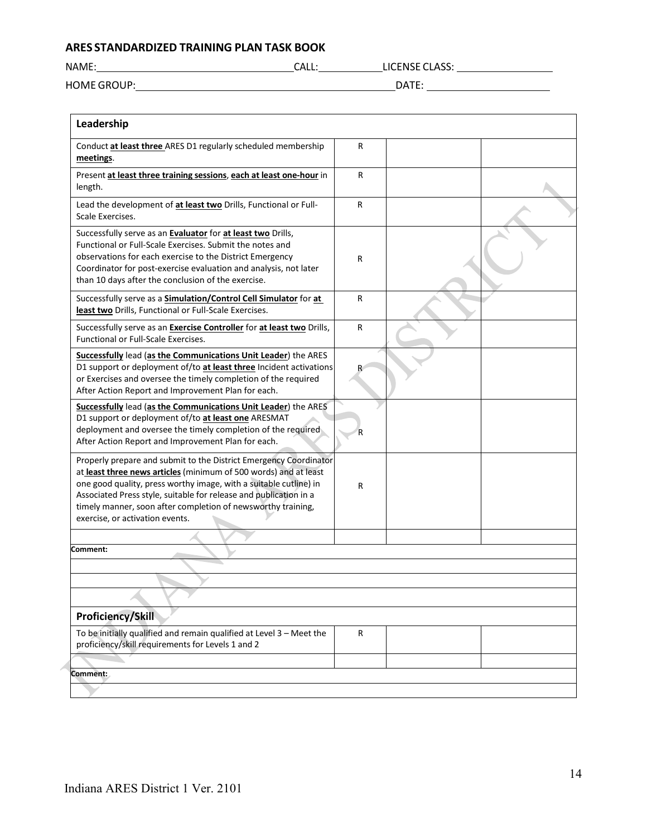| NAME:              | CALL: | <b>LICENSE CLASS:</b> |
|--------------------|-------|-----------------------|
| <b>HOME GROUP:</b> |       | DATE:                 |

| R                                                                                                                                       |  |
|-----------------------------------------------------------------------------------------------------------------------------------------|--|
| R                                                                                                                                       |  |
| R                                                                                                                                       |  |
| R                                                                                                                                       |  |
| R                                                                                                                                       |  |
| R                                                                                                                                       |  |
|                                                                                                                                         |  |
|                                                                                                                                         |  |
| R                                                                                                                                       |  |
|                                                                                                                                         |  |
|                                                                                                                                         |  |
|                                                                                                                                         |  |
|                                                                                                                                         |  |
| R                                                                                                                                       |  |
|                                                                                                                                         |  |
| D1 support or deployment of/to at least three Incident activations<br>Properly prepare and submit to the District Emergency Coordinator |  |